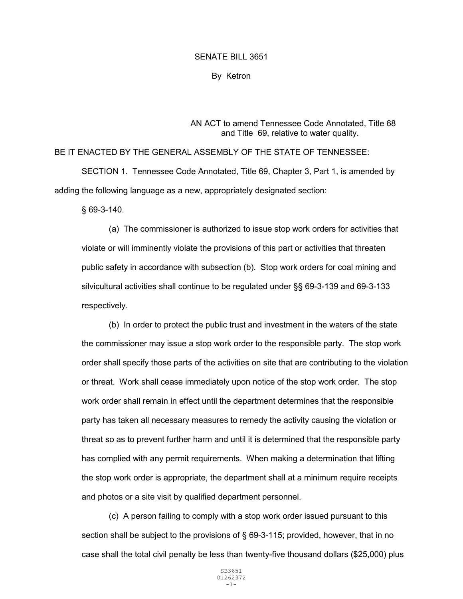## SENATE BILL 3651

By Ketron

## AN ACT to amend Tennessee Code Annotated, Title 68 and Title 69, relative to water quality.

## BE IT ENACTED BY THE GENERAL ASSEMBLY OF THE STATE OF TENNESSEE:

 SECTION 1. Tennessee Code Annotated, Title 69, Chapter 3, Part 1, is amended by adding the following language as a new, appropriately designated section:

§ 69-3-140.

(a) The commissioner is authorized to issue stop work orders for activities that violate or will imminently violate the provisions of this part or activities that threaten public safety in accordance with subsection (b). Stop work orders for coal mining and silvicultural activities shall continue to be regulated under §§ 69-3-139 and 69-3-133 respectively.

(b) In order to protect the public trust and investment in the waters of the state the commissioner may issue a stop work order to the responsible party. The stop work order shall specify those parts of the activities on site that are contributing to the violation or threat. Work shall cease immediately upon notice of the stop work order. The stop work order shall remain in effect until the department determines that the responsible party has taken all necessary measures to remedy the activity causing the violation or threat so as to prevent further harm and until it is determined that the responsible party has complied with any permit requirements. When making a determination that lifting the stop work order is appropriate, the department shall at a minimum require receipts and photos or a site visit by qualified department personnel.

(c) A person failing to comply with a stop work order issued pursuant to this section shall be subject to the provisions of § 69-3-115; provided, however, that in no case shall the total civil penalty be less than twenty-five thousand dollars (\$25,000) plus